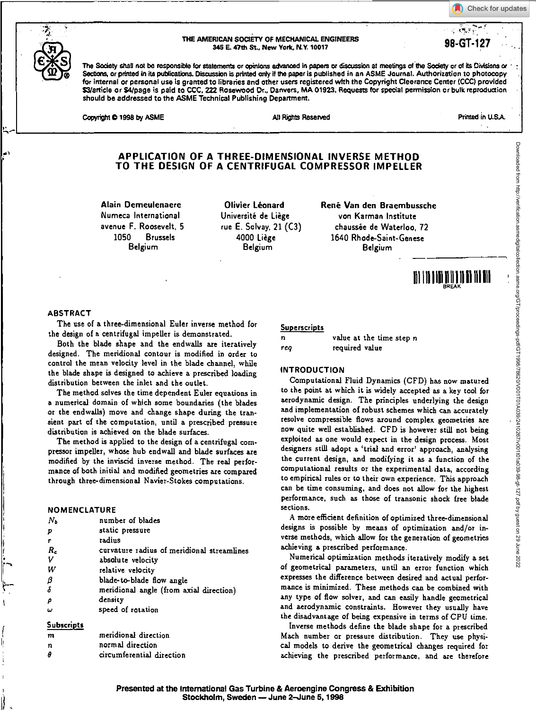Check for updates





#### THE AMERICAN SOCIETY OF MECHANICAL ENGINEERS 345 E. 47th St., New York, N.Y. 10017

The Satiety shall not be responsible for statements or opinions advanced In papers or discussion at meetings of the Society or of its Divisions or Sections, or printed in its publications. Discussion is printed only if the paper is published in an ASME Journal. Authorization to photocopy for internal or personal use is granted to libraries and other users registered with the Copyright Clearance Center (CCC) provided \$3/article or \$4/page is paid to CCC, 222 Rosewood Dr., Danvers, MA 01923. Requests for special permission or bulk reproduction should be addressed to the ASME Technical Publishing Department.

Copyright © 1998 by ASME All Rights Reserved All Rights Reserved Printed in U.S.A.

## al **APPLICATION OF A THREE-DIMENSIONAL INVERSE METHOD TO THE DESIGN OF A CENTRIFUGAL COMPRESSOR IMPELLER**

**Alain Demeulenaere Olivier Leonard Numeca International Universite de Liege avenue F. Roosevelt, 5 rue E. Solvay, 21 (C3) 1050 Brussels 4000 Liege** 

**Belgium Belgium** 

**Rene Van den Braembussche von Karman Institute chaussie de Waterloo, 72 1640 Rhode-Saint-Genese Belgium** 

# Eitoitilo1111

#### **ABSTRACT**

The use of **a three-dimensional Euler inverse method** for the design of a centrifugal impeller is demonstrated.

Both the blade shape and the endwalls are iteratively designed. The meridional contour is modified in order to control the mean velocity level in the blade channel, while the blade shape is designed to achieve a prescribed loading distribution between the inlet and the outlet.

The method solves the time dependent Euler equations in a numerical domain of which some boundaries (the blades or the endwalls) move and change shape during the transient part of the computation, until a prescribed pressure distribution is achieved on the blade surfaces.

The method is applied to the design of a centrifugal compressor impeller, whose hub endwall and blade surfaces are modified by the inviscid inverse method. The real performance of both initial and modified geometries are compared through three-dimensional Navier-Stokes computations.

## **NOMENCLATURE**

| $N_{\rm b}$            | number of blades                           |
|------------------------|--------------------------------------------|
| P                      | static pressure                            |
| r                      | radius                                     |
| $R_c$                  | curvature radius of meridional streamlines |
| v                      | absolute velocity                          |
| W                      | relative velocity                          |
|                        | blade-to-blade flow angle                  |
| $\frac{\beta}{\delta}$ | meridional angle (from axial direction)    |
| ρ                      | density                                    |
| ں                      | speed of rotation                          |
| <b>Subscripts</b>      |                                            |

| m | meridional direction      |  |  |
|---|---------------------------|--|--|
| n | normal direction          |  |  |
| A | circumferential direction |  |  |

# Superscripts

| $\mathbf n$ |                | value at the time step n |  |
|-------------|----------------|--------------------------|--|
| rea         | required value |                          |  |

#### **INTRODUCTION**

Computational Fluid Dynamics (CFD) has now matured to the point at which it is widely accepted as a key tool for aerodynamic design. The principles underlying the design and implementation of robust schemes which can accurately resolve compressible flows around complex geometries are now quite well established. CFD is however still not being exploited as one would expect in the design process. Most designers still adopt a 'trial and error' approach, analysing the current design, and modifying it as a function **of the computational results or the** experimental data, according to empirical rules or to their own experience. This approach can be time consuming, and does not allow for the highest performance, such as those of transonic shock free blade sections.

A more efficient definition of optimized three-dimensional designs is possible by means of optimization and/or inverse methods, which allow for the generation of geometries achieving a prescribed performance.

Numerical optimization methods iteratively modify a set of geometrical parameters, until an error function which expresses the difference between desired and actual performance is minimized. These methods can be combined with any type of flow solver, and can easily handle geometrical and aerodynamic constraints. However they usually have the disadvantage of being expensive in terms of CPU time.

Inverse methods define the blade shape for a prescribed Mach number or pressure distribution. They use physical models to derive the geometrical changes required for achieving the prescribed performance, and are therefore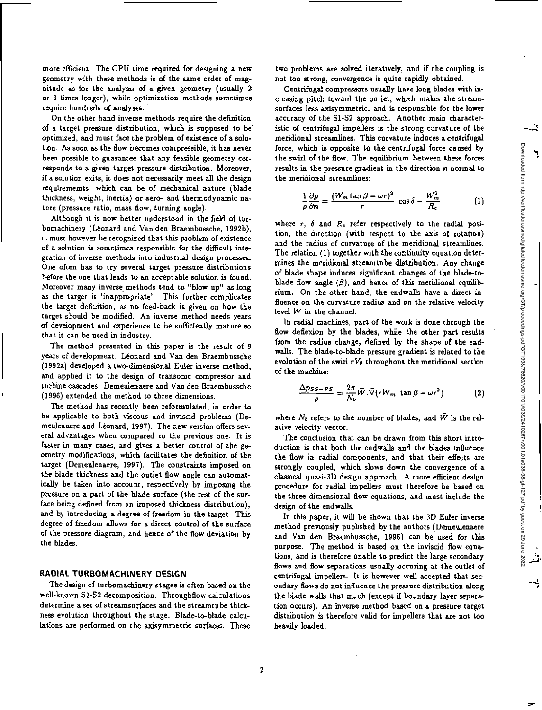more efficient. The CPU time required for designing a new geometry with these methods is of the same order of magnitude as for the analysis of a given geometry (usually 2 or 3 times longer), while optimization methods sometimes require hundreds of analyses.

On the other hand inverse methods require the definition of a target pressure distribution, which is supposed to be optimized, and must face the problem of existence of a solution. As soon as the flow becomes compressible, it has never been possible to guarantee that any feasible geometry corresponds to a given target pressure distribution. Moreover, if a solution exits, it does not necessarily meet all the design requirememts, which can be of mechanical nature (blade thickness, weight, inertia) or aero- and thermodynamic nature (pressure ratio, *mass* flow, turning angle).

Although it is now better understood in the field of turbomachinery (Leonard and Van den Braembussche, 19926), it must however be recognized that this problem of existence of a solution is sometimes responsible for the difficult integration of inverse methods into industrial design processes. One often has to try several target pressure distributions before the one that leads to an acceptable solution is found. Moreover many inverse methods tend to "blow up" as long as the target is 'inappropriate'. This further complicates the target definition, as no feed-back is given on how the target should be modified. An inverse method needs years of development and experience to be sufficiently mature so that it can be used in industry.

The method presented in this paper is the result of 9 years of development. Leonard and Van den Braembussche (1992a) developed a two-dimensional Euler inverse method, and applied it to the design of transonic compressor and turbine cascades. Demeulenaere and Van den Braembussche (1996) extended the method to three dimensions.

The method has recently been reformulated, in order to be applicable to both viscous and inviscid problems (Demeulenaere and Léonard, 1997). The new version offers several advantages when compared to the previous one. It is faster in many cases, and gives a better control of the geometry modifications, which facilitates the definition of the target (Demeulenaere, 1997). The constraints imposed on the blade thickness and the outlet flow angle can automatically be taken into account, respectively by imposing the pressure on a part of the blade surface (the rest of the surface being defined from an imposed thickness distribution), and by introducing a degree of freedom in the target. This degree of freedom allows for a direct control of the surface of the pressure diagram, and hence of the flow deviation by the blades.

## **RADIAL TURBOMACH1NERY DESIGN**

The design of turbomachinery stages is often based on the well-known S1-S2 decomposition. Throughflow calculations determine a set of streamsurfaces and the streamtube thickness evolution throughout the stage. Blade-to-blade calculations are performed on the axisymmetric surfaces. These

two problems are solved iteratively, and if the coupling is not too strong, convergence is quite rapidly obtained.

Centrifugal compressors usually have long blades with increasing pitch toward the outlet, which makes the streamsurfaces less axisymmetric, and is responsible for the lower accuracy of the S1-82 approach. Another main characteristic of centrifugal impellers is the strong curvature of the meridional streamlines. This curvature induces a centrifugal force, which is opposite to the centrifugal force caused by the swirl of the flow. The equilibrium between these forces results in the pressure gradient in the direction  $n$  normal to the meridional streamlines:

$$
\frac{1}{\rho} \frac{\partial p}{\partial n} = \frac{(W_m \tan \beta - \omega r)^2}{r} \cos \delta - \frac{W_m^2}{R_c} \tag{1}
$$

where  $r$ ,  $\delta$  and  $R_c$  refer respectively to the radial position, the direction (with respect to the axis of rotation) and the radius of curvature of the meridional streamlines. The relation (1) together with the continuity equation determines the meridional streamtnbe distribution. Any change of blade shape induces significant changes of the blade-toblade flow angle  $(\beta)$ , and hence of this meridional equilibrium. On the other hand, the endwalls have a direct influence on the curvature radius and on the relative velocity level W in the channel.

In radial machines, part of the work is done through the flow deflexion by the blades, while the other part results from the radius change, defined by the shape of the endwalls. The blade-to-blade pressure gradient is related to the evolution of the swirl  $rV_{\theta}$  throughout the meridional section of the machine:

$$
\frac{\Delta ps_{S-PS}}{\rho} = \frac{2\pi}{N_b} \vec{W} \cdot \vec{\nabla} (rW_m \tan \beta - \omega r^2)
$$
 (2)

where  $N_b$  refers to the number of blades, and  $\vec{W}$  is the relative velocity vector.

The conclusion that can be drawn from this short introduction is that both the endwalls and the blades influence the flow in radial components, and that their effects are strongly coupled, which slows down the convergence of a classical quasi-3D design approach. A more efficient design procedure for radial impellers must therefore be based on the three-dimensional flow equations, and must include the design of the endwalls.

In this paper, it will be shown that the 3D Euler inverse method previously published by the authors (Demeulenaere and Van den Braembussche, 1996) can be used for this purpose. The method is based on the inviscid flow equations, and is therefore unable to predict the large secondary flows and flow separations usually occuring at the outlet of centrifugal impellers. It is however well accepted that secondary flows do not influence the pressure distribution along the blade walls that much (except if boundary layer separation occurs). An inverse method based on a pressure target distribution is therefore valid for impellers that are not too heavily loaded.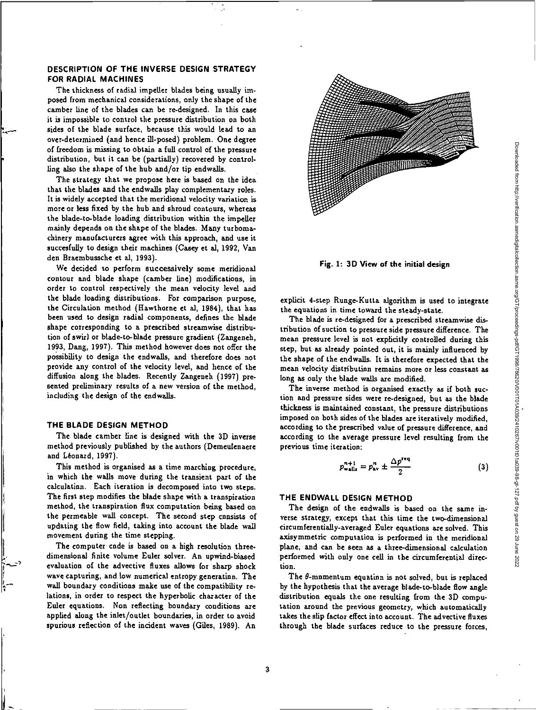## **DESCRIPTION OF THE INVERSE DESIGN STRATEGY FOR RADIAL MACHINES**

The thickness of radial impeller blades being usually imposed from mechanical considerations, only the shape of the camber line of the blades can be re-designed. In this case it is impossible to control the pressure distribution on both sides of the blade surface, because this would lead to an over-determined (and hence ill-posed) problem. One degree of freedom is missing to obtain a full control of the pressure distribution, but it can be (partially) recovered by controlling also the shape of the hub and/or tip endwalls

The strategy that we propose here is based on the idea that the blades and the endwalls play complementary roles. It is widely accepted that the meridional velocity variation is more or less fixed by the hub and shroud contours, whereas the blade-to-blade loading distribution within the impeller mainly depends on the shape of the blades. Many turbomachinery manufacturers agree with this approach, and use it succesfully to design their machines (Casey et al, 1992, Van den Braembussche et al, 1993).

We decided to perform successively some meridional contour and blade shape (camber line) modifications, in order to control respectively the mean velocity level and the blade loading distributions. For comparison purpose, the Circulation method (Hawthorne et al, 1984), that has been used to design radial components, defines the blade shape corresponding to a prescribed streamwise distribution of swirl or blade-to-blade pressure gradient (Zangeneh, 1993, Dang, 1997). This method however does not offer the possibility to design the endwalls, and therefore does not provide any control of the velocity level, and hence of the diffusion along the blades. Recently Zangeneh (1997) presented preliminary results of a new version of the method, including the design of the endwalls.

### **THE BLADE DESIGN METHOD**

The blade camber line is designed with the 3D inverse method previously published by the authors (Demeulenaere and Leonard, 1997).

This method is organised as a time marching procedure, in which the walls move during the transient part of the calculation. Each iteration is decomposed into two steps. The first step modifies the blade shape with a transpiration method, the transpiration flux computation being based on the permeable wall concept. The second step consists of updating the flow field, taking into account the blade wall movement during the time stepping.

The computer cnde is based on a high resolution threedimensional finite volume Euler solver. An upwind-biased evaluation of the advective fluxes allows for sharp shock wave capturing, and low numerical entropy generation. The wall boundary conditions make use of the compatibility relations, in order to respect the hyperbolic character of the Euler equations. Non reflecting boundary conditions are applied along the inlet/outlet boundaries, in order to avoid spurious reflection of the incident waves (Giles, 1989). An



**Fig. 1: 3D View of the initial design** 

explicit **4-step** Runge-Kutta algorithm is used to integrate the equations in time toward the steady-state.

The blade is re-designed for a prescribed streamwise distribution of suction to pressure side pressure difference. The mean pressure level is not explicitly controlled during this step, but as already pointed out, it is mainly influenced by the shape of the endwalls. It is therefore expected that the mean velocity distribution remains more or less constant **as**  long as only the blade *walls* are modified.

The inverse method is organised exactly as if both suction and pressure sides were re-designed, but as the blade thickness is maintained constant, the pressure distributions imposed on both sides of the blades are iteratively modified, according to the prescribed value of pressure difference, and according to the average pressure level resulting from the previous time iteration:

$$
p_{\text{walls}}^{n+1} = p_{\text{av}}^n \pm \frac{\Delta p^{\text{req}}}{2} \tag{3}
$$

# **THE ENDWALL DESIGN METHOD**

**The** design of the endwalls is based on the same inverse strategy, except that this time the two-dimensional circumferentially-averaged Euler equations are solved. This axisymmetric computation is performed in the meridional plane, and can be seen as a three-dimensional calculation performed with only one cell in the circumferential direction.

The  $\theta$ -momentum equation is not solved, but is replaced by the hypothesis that the average blade-to-blade flow angle distribution equals the one resulting from the 3D computation around the previous geometry, which automatically takes the slip factor effect into account. The advective fluxes through the blade surfaces reduce to the pressure forces,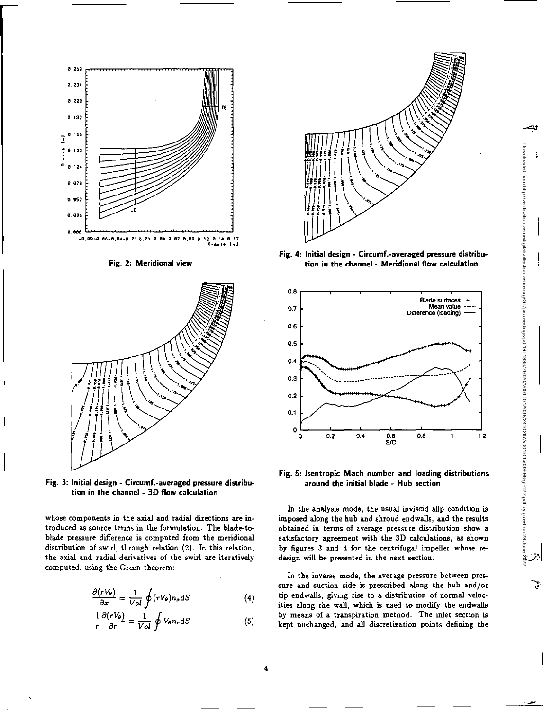

Fig. 2: Meridional view



Fig. 3: Initial design - Circumf.-averaged pressure distribution in the channel - 3D flow calculation

whose components in the axial and radial directions are introduced as source terms in the formulation. The blade-toblade pressure difference is computed from the meridional distribution of swirl, through relation (2). In this relation, the axial and radial derivatives of the swirl are iteratively computed, using the Green theorem:

$$
\frac{\partial (rV_{\theta})}{\partial x} = \frac{1}{Vol} \oint (rV_{\theta}) n_x dS \tag{4}
$$

$$
\frac{1}{r}\frac{\partial (rV_{\theta})}{\partial r} = \frac{1}{Vol}\oint V_{\theta}n_r dS \tag{5}
$$



**Fig. 4:** Initial design - Circumf.-averaged pressure distribution in the channel - Meridional flow calculation



Fig. 5: Isentropic Mach number and loading distributions around the initial blade - Hub section

In the analysis mode, the usual inviscid slip condition is imposed along the hub and shroud endwalls, and the results obtained in terms of average pressure distribution show a satisfactory agreement with the 3D calculations, as shown by figures 3 and 4 for the centrifugal impeller whose redesign will be presented in the next section.

In the inverse mode, the average pressure between pressure and suction side is prescribed along the hub and/or tip endwalls, giving rise to a distribution of normal velocities along the wall, which is used to modify the endwalls by means of a transpiration method. The inlet section is kept unchanged, and all discretization points defining the

4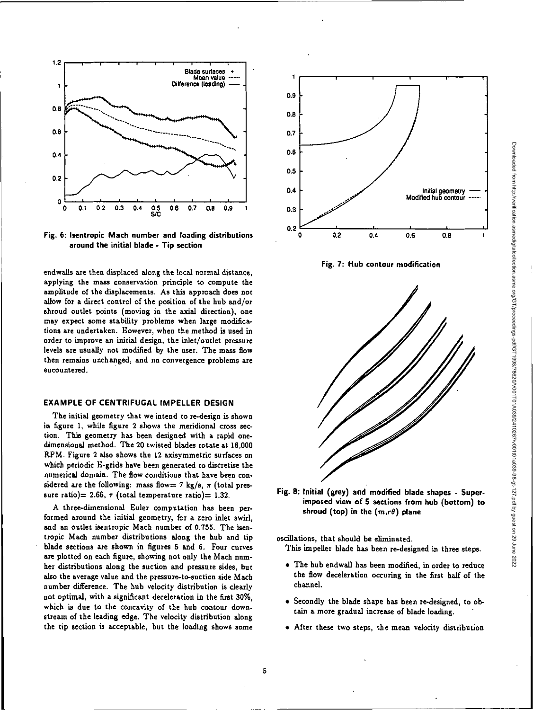

**Fig. 6: Isentropic Mach number and loading distributions 1.4 0.4 0.4 0.4 0.4 around the initial blade - Tip section** 

endwalls are then displaced along the local normal distance, applying the **mass** conservation principle to compute the amplitude of the displacements. As this approach does not allow for a direct control of the position of the hub and/or shroud outlet points (moving in the axial direction), one may expect some stability problems when large modifications are undertaken. However, when the method is used in order to improve an initial design, the inlet/outlet pressure levels are usually not modified by the user. The mass flow then remains unchanged, and nn convergence problems are encountered.

#### **EXAMPLE OF CENTRIFUGAL IMPELLER DESIGN**

The initial geometry that we intend to re-design is shown in figure 1, while figure 2 shows the meridional cross section. This geometry has been designed with a rapid onedimensional method. The 20 twisted blades rotate at 18,000 RPM. Figure 2 also shows the 12 axisymmetric surfaces on which periodic H-grids have been generated to discretise the numerical domain. The flow conditions that have been considered are the following: mass flow= 7 kg/s,  $\pi$  (total pressure ratio) = 2.66,  $\tau$  (total temperature ratio) = 1.32.

A three-dimensional Euler computation has been performed around the initial geometry, for a zero inlet swirl, and an outlet isentropic Mach number of 0.755. The isentropic Mach number distributions along the hub and tip blade sections are shown in figures 5 and 6. Four curves are plotted on each figure, showing not only the Mach number distributions along the suction and pressure sides, but also the average value and the pressure-to-suction side Mach number difference. The hub velocity distribution is clearly not optimal, with a significant deceleration in the first 30%, which is due to the concavity of the hub contour downstream of the leading edge. The velocity distribution along the tip section is acceptable, but the loading shows some







**Fig. 8: Initial (grey) and modified blade shapes - Superimposed view of 5 sections from hub (bottom) to**  shroud (top) in the  $(m,r\theta)$  plane

oscillations, that should be eliminated.

This impeller blade has been re-designed in three steps.

- The hub endwall has been modified, in order to reduce the flow deceleration occuring in the first half of the channel.
- Secondly the blade shape has been re-designed, to obtain a more gradual increase of blade loading.
- After these two steps, the mean velocity distribution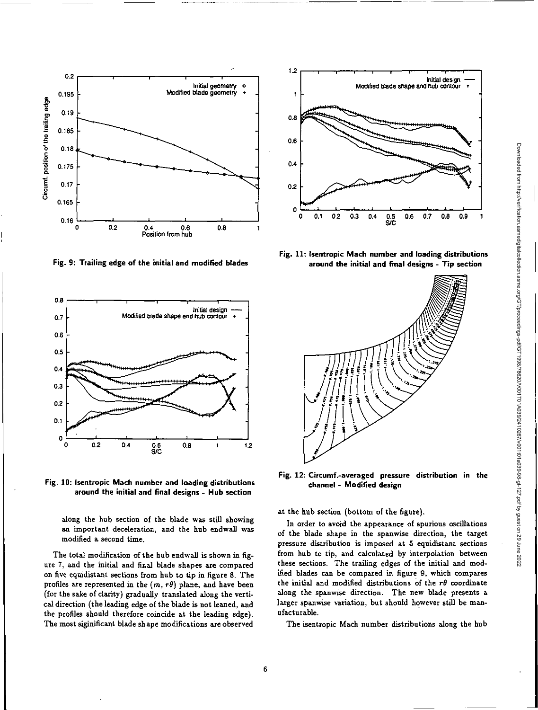



0.2

0.195

0.19 0.185

0.18 0.175

Circumf. position of the trailing edge

Circumf. position of the trailing edge

0.17  $0.165$ 

 $0.16<sup>L</sup>$ 



along the hub section of the blade was still showing an important deceleration, and the hub endwall was modified a second time.

The total modification of the hub endwall is shown in figure 7, and the initial and final blade shapes are compared on five equidistant sections from hub to tip in figure 8. The profiles are represented in the  $(m, r\theta)$  plane, and have been (for the sake of clarity) gradually translated along the vertical direction (the leading edge of the blade is not leaned, and the profiles should therefore coincide at the leading edge). The most siginificant blade shape modifications are observed



**Fig. 11: Isentropic Mach number and loading distributions around the initial and final designs - Tip section** 



**Fig. 12 Circumf.-averaged pressure distribution in the channel - Modified design** 

at the hub section (bottom of the figure).

In order to avoid the appearance of spurious oscillations of the blade shape in the spanvrise direction, the target pressure distribution is imposed at 5 equidistant sections from hub to tip, and calculated by interpolation between these sections. The trailing edges of the initial and modified blades can be compared in figure 9, which compares the initial and modified distributions of the  $r\theta$  coordinate along the spanwise direction. The new blade presents a larger spanwise variation, but should however still be manufacturable.

The isentropic Mach number distributions along the hub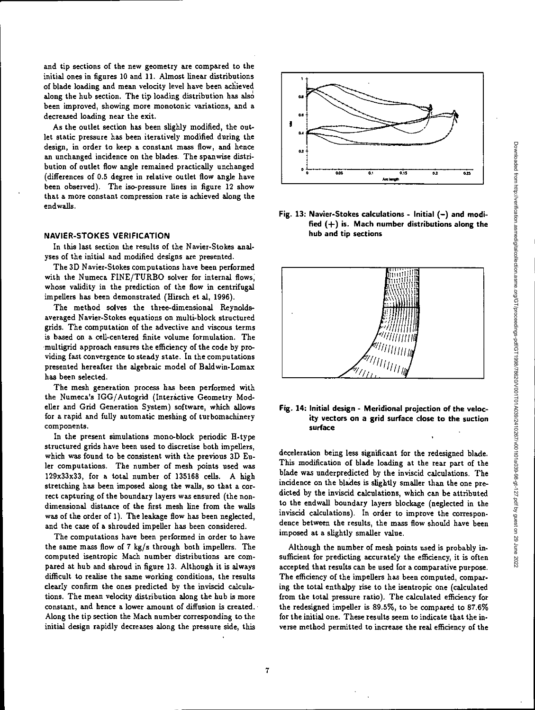and tip sections of the new geometry are compared to the initial ones in figures 10 and 11. Almost linear distributions of blade loading and mean velocity level have been achieved along the hub section. The tip loading distribution has also been improved, showing more monotonic variations, and a decreased loading near the exit.

As the outlet section has been slighly modified, the outlet static pressure has been iteratively modified during the design, in order to keep a constant mass flow, and hence an unchanged incidence on the blades. The spanwise distribution of outlet flow angle remained practically unchanged (differences of 0.5 degree in relative outlet flow angle have been observed). The iso-pressure lines in figure 12 show that a more constant compression rate is achieved along the endwalls.

#### **NAVIER-STOKES VERIFICATION**

In this last section the results of the Navier-Stokes analyses of the initial and modified designs are presented.

The 3D Navier-Stokes computations have been performed with the Numeca FINE/TURBO solver for internal flows, whose validity in the prediction of the flow in centrifugal impellers has been demonstrated (Hirsch et al, 1996).

The method solves the three-dimensional Reynoldsaveraged Navier-Stokes equations on multi-block structured grids. The computation of the advective and viscous terms is based on a cell-centered finite volume formulation. The .multigrid approach ensures the efficiency of the code by providing fast convergence to steady state. In the computations presented hereafter the algebraic model of Baldwin-Lomax has been selected.

The mesh generation process has been performed with the Numeca's IGG/Autogrid (Interactive Geometry Modeller and Grid Generation System) software, which allows for a rapid and fully automatic meshing of turbomachinery components.

In the present simulations mono-block periodic H-type structured grids have been used to discretise both impellers, which was found to be consistent with the previous 3D Euler computations. The number of mesh points used was 129x33x33, for a total number of 135168 cells. A high stretching has been imposed along the walls, so that a correct capturing of the boundary layers was ensured (the nondimensional distance of the first mesh line from the walls was of the order of 1). The leakage flow has been neglected, and the case of a shrouded impeller has been considered.

The computations have been performed in order to have the same mass flow of 7 kg/s through both impellers. The computed isentropic Mach number distributions are compared at hub and shroud in figure 13. Although it is always difficult to realise the same working conditions, the results clearly confirm the ones predicted by the inviscid calculations. The mean velocity distribution along the hub is more constant, and hence a lower amount of diffusion is created. Along the tip section the Mach number corresponding to the initial design rapidly decreases along the pressure side, this



**Fig. 13: Navier-Stokes calculations - Initial (—) and modified (±) is. Mach number distributions along the hub and tip sections** 



## **Fig. 14: Initial design - Meridional projection of the velocity vectors on a grid surface close to the suction surface**

deceleration being less significant for the redesigned blade. This modification of blade loading at the rear part of the blade was underpredicted by the inviscid calculations. The incidence on the blades is slightly smaller than the one predicted by the inviscid calculations, which can be attributed to the endwall boundary layers blockage (neglected in the inviscid calculations). In order to improve the correspondence between the results, the mass flow should have been imposed at a slightly smaller value.

Although the number of mesh points used is probably insufficient for predicting accurately the efficiency, it is often accepted that results can be used for a comparative purpose. The efficiency of the impellers has been computed, comparing the total enthalpy rise to the isentropic one (calculated from the total pressure ratio). The calculated efficiency for the redesigned impeller is 89.5%, to be compared to 87.6% for the initial one. These results seem to indicate that the inverse method permitted to increase the real efficiency of the